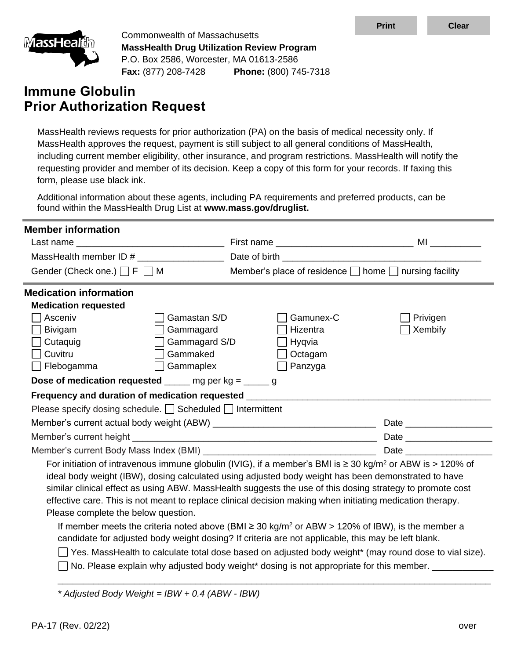

Commonwealth of Massachusetts **MassHealth Drug Utilization Review Program** P.O. Box 2586, Worcester, MA 01613-2586 **Fax:** (877) 208-7428 **Phone:** (800) 745-7318

# **Immune Globulin Prior Authorization Request**

MassHealth reviews requests for prior authorization (PA) on the basis of medical necessity only. If MassHealth approves the request, payment is still subject to all general conditions of MassHealth, including current member eligibility, other insurance, and program restrictions. MassHealth will notify the requesting provider and member of its decision. Keep a copy of this form for your records. If faxing this form, please use black ink.

Additional information about these agents, including PA requirements and preferred products, can be found within the MassHealth Drug List at **www.mass.gov/druglist.**

| <b>Member information</b>                                                                                                  |                                                       |          |  |  |  |  |
|----------------------------------------------------------------------------------------------------------------------------|-------------------------------------------------------|----------|--|--|--|--|
|                                                                                                                            |                                                       |          |  |  |  |  |
| MassHealth member ID #                                                                                                     |                                                       |          |  |  |  |  |
| Gender (Check one.) $\Box$ F $\Box$ M                                                                                      | Member's place of residence □ home □ nursing facility |          |  |  |  |  |
| <b>Medication information</b>                                                                                              |                                                       |          |  |  |  |  |
| <b>Medication requested</b>                                                                                                |                                                       |          |  |  |  |  |
| Asceniv<br>Gamastan S/D                                                                                                    | Gamunex-C                                             | Privigen |  |  |  |  |
| Bivigam<br>Gammagard                                                                                                       | Hizentra                                              | Xembify  |  |  |  |  |
| Gammagard S/D<br>$\Box$ Cutaquig                                                                                           | Hyqvia                                                |          |  |  |  |  |
| $\sqcap$ Cuvitru<br>Gammaked                                                                                               | Octagam                                               |          |  |  |  |  |
| $\Box$ Flebogamma<br>Gammaplex                                                                                             | Panzyga                                               |          |  |  |  |  |
| Dose of medication requested $\_\_\_\_$ mg per kg = $\_\_\_\_$ g                                                           |                                                       |          |  |  |  |  |
| Frequency and duration of medication requested _____                                                                       |                                                       |          |  |  |  |  |
| Please specify dosing schedule. Scheduled Intermittent                                                                     |                                                       |          |  |  |  |  |
|                                                                                                                            |                                                       |          |  |  |  |  |
|                                                                                                                            |                                                       |          |  |  |  |  |
|                                                                                                                            |                                                       |          |  |  |  |  |
| For initiation of intravenous immune globulin (IVIG), if a member's BMI is $\geq$ 30 kg/m <sup>2</sup> or ABW is > 120% of |                                                       |          |  |  |  |  |
| ideal body weight (IBW), dosing calculated using adjusted body weight has been demonstrated to have                        |                                                       |          |  |  |  |  |
| similar clinical effect as using ABW. MassHealth suggests the use of this dosing strategy to promote cost                  |                                                       |          |  |  |  |  |
| effective care. This is not meant to replace clinical decision making when initiating medication therapy.                  |                                                       |          |  |  |  |  |
| Please complete the below question.                                                                                        |                                                       |          |  |  |  |  |
| If member meets the criteria noted above (BMI $\geq$ 30 kg/m <sup>2</sup> or ABW > 120% of IBW), is the member a           |                                                       |          |  |  |  |  |
| candidate for adjusted body weight dosing? If criteria are not applicable, this may be left blank.                         |                                                       |          |  |  |  |  |
| Yes. MassHealth to calculate total dose based on adjusted body weight* (may round dose to vial size).                      |                                                       |          |  |  |  |  |
| No. Please explain why adjusted body weight* dosing is not appropriate for this member.                                    |                                                       |          |  |  |  |  |
|                                                                                                                            |                                                       |          |  |  |  |  |
|                                                                                                                            |                                                       |          |  |  |  |  |

*\* Adjusted Body Weight = IBW + 0.4 (ABW - IBW)*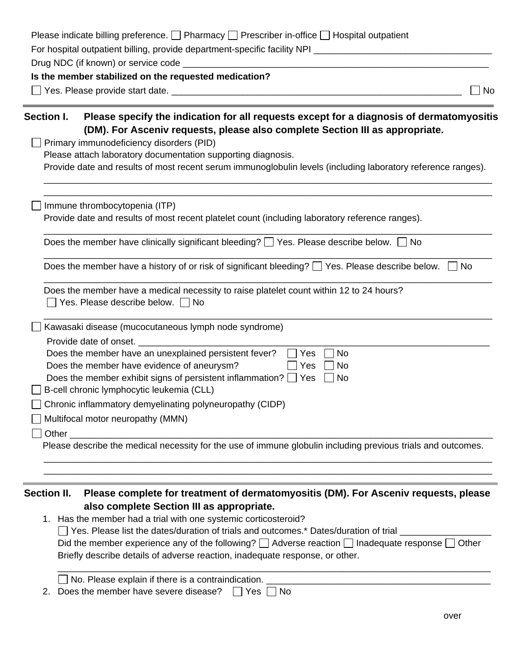|             | No                                                                                                                                                                                                                             |
|-------------|--------------------------------------------------------------------------------------------------------------------------------------------------------------------------------------------------------------------------------|
| Section I.  | Please specify the indication for all requests except for a diagnosis of dermatomyositis<br>(DM). For Asceniv requests, please also complete Section III as appropriate.                                                       |
|             | Primary immunodeficiency disorders (PID)                                                                                                                                                                                       |
|             | Please attach laboratory documentation supporting diagnosis.                                                                                                                                                                   |
|             | Provide date and results of most recent serum immunoglobulin levels (including laboratory reference ranges).                                                                                                                   |
|             | Immune thrombocytopenia (ITP)                                                                                                                                                                                                  |
|             | Provide date and results of most recent platelet count (including laboratory reference ranges).                                                                                                                                |
|             | Does the member have clinically significant bleeding? $\Box$ Yes. Please describe below. $\Box$ No                                                                                                                             |
|             | Does the member have a history of or risk of significant bleeding? $\Box$ Yes. Please describe below.<br><b>No</b>                                                                                                             |
|             | Does the member have a medical necessity to raise platelet count within 12 to 24 hours?<br>Yes. Please describe below. □ No                                                                                                    |
|             | Kawasaki disease (mucocutaneous lymph node syndrome)                                                                                                                                                                           |
|             | Provide date of onset.                                                                                                                                                                                                         |
|             | Does the member have an unexplained persistent fever?<br>Yes<br><b>No</b>                                                                                                                                                      |
|             | Does the member have evidence of aneurysm?<br>Yes<br>No<br>Does the member exhibit signs of persistent inflammation? [<br>  Yes<br>  No                                                                                        |
|             | B-cell chronic lymphocytic leukemia (CLL)                                                                                                                                                                                      |
|             | Chronic inflammatory demyelinating polyneuropathy (CIDP)                                                                                                                                                                       |
|             | Multifocal motor neuropathy (MMN)                                                                                                                                                                                              |
|             | Other the contract of the contract of the contract of the contract of the contract of the contract of the contract of the contract of the contract of the contract of the contract of the contract of the contract of the cont |
|             | Please describe the medical necessity for the use of immune globulin including previous trials and outcomes.                                                                                                                   |
|             |                                                                                                                                                                                                                                |
| Section II. | Please complete for treatment of dermatomyositis (DM). For Asceniv requests, please                                                                                                                                            |
|             | also complete Section III as appropriate.                                                                                                                                                                                      |
|             | 1. Has the member had a trial with one systemic corticosteroid?                                                                                                                                                                |
|             | □ Yes. Please list the dates/duration of trials and outcomes.* Dates/duration of trial                                                                                                                                         |
|             | Did the member experience any of the following? $\Box$ Adverse reaction $\Box$ Inadequate response $\Box$<br>Other                                                                                                             |
|             | Briefly describe details of adverse reaction, inadequate response, or other.                                                                                                                                                   |
|             |                                                                                                                                                                                                                                |

| $\Box$ TVO. FIEASE EXPIAILE II THELE IS A CONTRAINMUNION. |  |
|-----------------------------------------------------------|--|
| Does the member have severe disease? $\Box$ Yes $\Box$    |  |